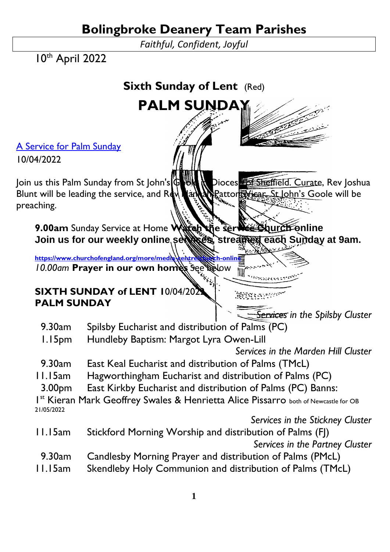# **Bolingbroke Deanery Team Parishes**

*Faithful, Confident, Joyful*

10th April 2022

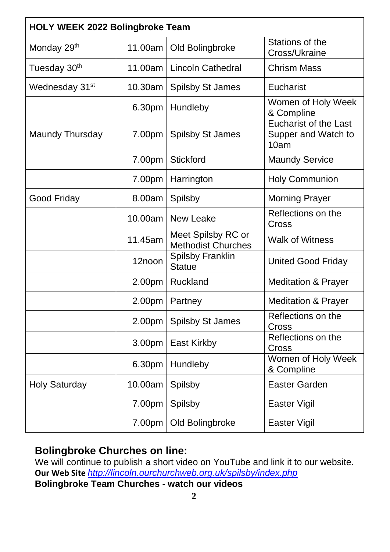| <b>HOLY WEEK 2022 Bolingbroke Team</b> |                    |                                                 |                                                             |  |
|----------------------------------------|--------------------|-------------------------------------------------|-------------------------------------------------------------|--|
| Monday 29 <sup>th</sup>                | 11.00am            | Old Bolingbroke                                 | Stations of the<br>Cross/Ukraine                            |  |
| Tuesday 30th                           | 11.00am            | <b>Lincoln Cathedral</b>                        | <b>Chrism Mass</b>                                          |  |
| Wednesday 31 <sup>st</sup>             | 10.30am            | <b>Spilsby St James</b>                         | Eucharist                                                   |  |
|                                        | 6.30pm             | Hundleby                                        | Women of Holy Week<br>& Compline                            |  |
| <b>Maundy Thursday</b>                 | 7.00pm             | <b>Spilsby St James</b>                         | <b>Eucharist of the Last</b><br>Supper and Watch to<br>10am |  |
|                                        | 7.00pm             | <b>Stickford</b>                                | <b>Maundy Service</b>                                       |  |
|                                        | 7.00pm             | Harrington                                      | <b>Holy Communion</b>                                       |  |
| <b>Good Friday</b>                     | 8.00am             | Spilsby                                         | <b>Morning Prayer</b>                                       |  |
|                                        | 10.00am            | New Leake                                       | Reflections on the<br>Cross                                 |  |
|                                        | 11.45am            | Meet Spilsby RC or<br><b>Methodist Churches</b> | <b>Walk of Witness</b>                                      |  |
|                                        | 12noon             | <b>Spilsby Franklin</b><br><b>Statue</b>        | <b>United Good Friday</b>                                   |  |
|                                        | 2.00pm             | <b>Ruckland</b>                                 | <b>Meditation &amp; Prayer</b>                              |  |
|                                        | 2.00 <sub>pm</sub> | Partney                                         | <b>Meditation &amp; Prayer</b>                              |  |
|                                        | 2.00 <sub>pm</sub> | <b>Spilsby St James</b>                         | Reflections on the<br>Cross                                 |  |
|                                        | 3.00pm             | <b>East Kirkby</b>                              | Reflections on the<br>Cross                                 |  |
|                                        | 6.30pm             | Hundleby                                        | Women of Holy Week<br>& Compline                            |  |
| <b>Holy Saturday</b>                   | 10.00am            | <b>Spilsby</b>                                  | <b>Easter Garden</b>                                        |  |
|                                        | 7.00pm             | <b>Spilsby</b>                                  | Easter Vigil                                                |  |
|                                        | 7.00pm             | Old Bolingbroke                                 | Easter Vigil                                                |  |

# **Bolingbroke Churches on line:**

We will continue to publish a short video on YouTube and link it to our website. **Our Web Site** *<http://lincoln.ourchurchweb.org.uk/spilsby/index.php>* **Bolingbroke Team Churches - watch our videos**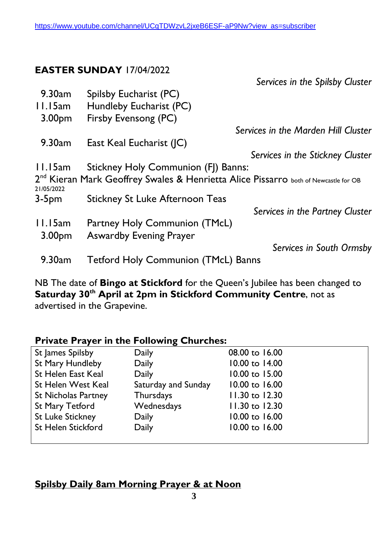# **EASTER SUNDAY** 17/04/2022

*Services in the Spilsby Cluster*

| 9.30am     | Spilsby Eucharist (PC)                                                                          |                                     |
|------------|-------------------------------------------------------------------------------------------------|-------------------------------------|
| 11.15am    | Hundleby Eucharist (PC)                                                                         |                                     |
| 3.00pm     | Firsby Evensong (PC)                                                                            |                                     |
|            |                                                                                                 | Services in the Marden Hill Cluster |
| 9.30am     | East Keal Eucharist (JC)                                                                        |                                     |
|            |                                                                                                 | Services in the Stickney Cluster    |
| 11.15am    | Stickney Holy Communion (FI) Banns:                                                             |                                     |
| 21/05/2022 | 2 <sup>nd</sup> Kieran Mark Geoffrey Swales & Henrietta Alice Pissarro both of Newcastle for OB |                                     |
| $3-5pm$    | <b>Stickney St Luke Afternoon Teas</b>                                                          |                                     |
|            |                                                                                                 | Services in the Partney Cluster     |
| 11.15am    | Partney Holy Communion (TMcL)                                                                   |                                     |
| 3.00pm     | <b>Aswardby Evening Prayer</b>                                                                  |                                     |
|            |                                                                                                 | Services in South Ormsby            |
| 9.30am     | <b>Tetford Holy Communion (TMcL) Banns</b>                                                      |                                     |
|            |                                                                                                 |                                     |

NB The date of **Bingo at Stickford** for the Queen's Jubilee has been changed to **Saturday 30th April at 2pm in Stickford Community Centre**, not as advertised in the Grapevine.

# **Private Prayer in the Following Churches:**

| St James Spilsby           | Daily               | 08.00 to 16.00 |
|----------------------------|---------------------|----------------|
| <b>St Mary Hundleby</b>    | Daily               | 10.00 to 14.00 |
| <b>St Helen East Keal</b>  | Daily               | 10.00 to 15.00 |
| <b>St Helen West Keal</b>  | Saturday and Sunday | 10.00 to 16.00 |
| <b>St Nicholas Partney</b> | <b>Thursdays</b>    | 11.30 to 12.30 |
| <b>St Mary Tetford</b>     | Wednesdays          | 11.30 to 12.30 |
| <b>St Luke Stickney</b>    | Daily               | 10.00 to 16.00 |
| <b>St Helen Stickford</b>  | Daily               | 10.00 to 16.00 |
|                            |                     |                |

# **Spilsby Daily 8am Morning Prayer & at Noon**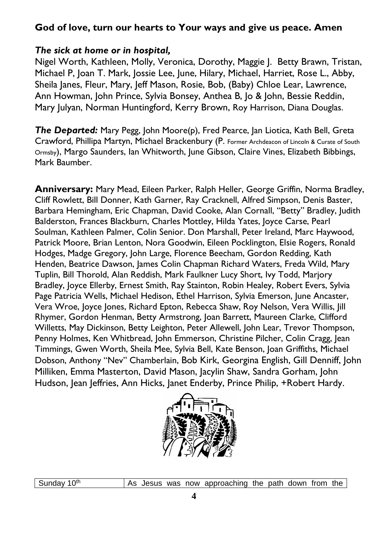# **God of love, turn our hearts to Your ways and give us peace. Amen**

# *The sick at home or in hospital,*

Nigel Worth, Kathleen, Molly, Veronica, Dorothy, Maggie J. Betty Brawn, Tristan, Michael P, Joan T. Mark, Jossie Lee, June, Hilary, Michael, Harriet, Rose L., Abby, Sheila Janes, Fleur, Mary, Jeff Mason, Rosie, Bob, (Baby) Chloe Lear, Lawrence, Ann Howman, John Prince, Sylvia Bonsey, Anthea B, Jo & John, Bessie Reddin, Mary Julyan, Norman Huntingford, Kerry Brown, Roy Harrison, Diana Douglas.

**The Departed:** Mary Pegg, John Moore(p), Fred Pearce, Jan Liotica, Kath Bell, Greta Crawford, Phillipa Martyn, Michael Brackenbury (P. Former Archdeacon of Lincoln & Curate of South Ormsby), Margo Saunders, Ian Whitworth, June Gibson, Claire Vines, Elizabeth Bibbings, Mark Baumber.

**Anniversary:** Mary Mead, Eileen Parker, Ralph Heller, George Griffin, Norma Bradley, Cliff Rowlett, Bill Donner, Kath Garner, Ray Cracknell, Alfred Simpson, Denis Baster, Barbara Hemingham, Eric Chapman, David Cooke, Alan Cornall, "Betty" Bradley, Judith Balderston, Frances Blackburn, Charles Mottley, Hilda Yates, Joyce Carse, Pearl Soulman, Kathleen Palmer, Colin Senior. Don Marshall, Peter Ireland, Marc Haywood, Patrick Moore, Brian Lenton, Nora Goodwin, Eileen Pocklington, Elsie Rogers, Ronald Hodges, Madge Gregory, John Large, Florence Beecham, Gordon Redding, Kath Henden, Beatrice Dawson, James Colin Chapman Richard Waters, Freda Wild, Mary Tuplin, Bill Thorold, Alan Reddish, Mark Faulkner Lucy Short, Ivy Todd, Marjory Bradley, Joyce Ellerby, Ernest Smith, Ray Stainton, Robin Healey, Robert Evers, Sylvia Page Patricia Wells, Michael Hedison, Ethel Harrison, Sylvia Emerson, June Ancaster, Vera Wroe, Joyce Jones, Richard Epton, Rebecca Shaw, Roy Nelson, Vera Willis, Jill Rhymer, Gordon Henman, Betty Armstrong, Joan Barrett, Maureen Clarke, Clifford Willetts, May Dickinson, Betty Leighton, Peter Allewell, John Lear, Trevor Thompson, Penny Holmes, Ken Whitbread, John Emmerson, Christine Pilcher, Colin Cragg, Jean Timmings, Gwen Worth, Sheila Mee, Sylvia Bell, Kate Benson, Joan Griffiths, Michael Dobson, Anthony "Nev" Chamberlain, Bob Kirk, Georgina English, Gill Denniff, John Milliken, Emma Masterton, David Mason, Jacylin Shaw, Sandra Gorham, John Hudson, Jean Jeffries, Ann Hicks, Janet Enderby, Prince Philip, +Robert Hardy.

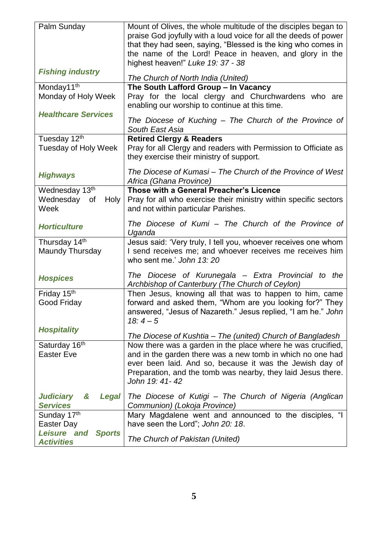| Palm Sunday                    | Mount of Olives, the whole multitude of the disciples began to<br>praise God joyfully with a loud voice for all the deeds of power<br>that they had seen, saying, "Blessed is the king who comes in<br>the name of the Lord! Peace in heaven, and glory in the<br>highest heaven!" Luke 19: 37 - 38 |  |  |
|--------------------------------|-----------------------------------------------------------------------------------------------------------------------------------------------------------------------------------------------------------------------------------------------------------------------------------------------------|--|--|
| <b>Fishing industry</b>        | The Church of North India (United)                                                                                                                                                                                                                                                                  |  |  |
| Monday11 <sup>th</sup>         | The South Lafford Group - In Vacancy                                                                                                                                                                                                                                                                |  |  |
| Monday of Holy Week            | Pray for the local clergy and Churchwardens who are<br>enabling our worship to continue at this time.                                                                                                                                                                                               |  |  |
| <b>Healthcare Services</b>     | The Diocese of Kuching - The Church of the Province of<br>South East Asia                                                                                                                                                                                                                           |  |  |
| Tuesday 12th                   | <b>Retired Clergy &amp; Readers</b>                                                                                                                                                                                                                                                                 |  |  |
| <b>Tuesday of Holy Week</b>    | Pray for all Clergy and readers with Permission to Officiate as<br>they exercise their ministry of support.                                                                                                                                                                                         |  |  |
| <b>Highways</b>                | The Diocese of Kumasi - The Church of the Province of West<br>Africa (Ghana Province)                                                                                                                                                                                                               |  |  |
| Wednesday 13th                 | Those with a General Preacher's Licence                                                                                                                                                                                                                                                             |  |  |
| Wednesday of<br><b>Holy</b>    | Pray for all who exercise their ministry within specific sectors                                                                                                                                                                                                                                    |  |  |
| Week                           | and not within particular Parishes.                                                                                                                                                                                                                                                                 |  |  |
| <b>Horticulture</b>            | The Diocese of Kumi - The Church of the Province of<br>Uganda                                                                                                                                                                                                                                       |  |  |
| Thursday 14th                  | Jesus said: 'Very truly, I tell you, whoever receives one whom                                                                                                                                                                                                                                      |  |  |
| Maundy Thursday                | I send receives me; and whoever receives me receives him                                                                                                                                                                                                                                            |  |  |
|                                | who sent me.' John 13:20                                                                                                                                                                                                                                                                            |  |  |
|                                |                                                                                                                                                                                                                                                                                                     |  |  |
| <b>Hospices</b>                | The Diocese of Kurunegala - Extra Provincial to the<br>Archbishop of Canterbury (The Church of Ceylon)                                                                                                                                                                                              |  |  |
| Friday 15th                    | Then Jesus, knowing all that was to happen to him, came                                                                                                                                                                                                                                             |  |  |
| Good Friday                    | forward and asked them, "Whom are you looking for?" They                                                                                                                                                                                                                                            |  |  |
|                                | answered, "Jesus of Nazareth." Jesus replied, "I am he." John                                                                                                                                                                                                                                       |  |  |
|                                | $18:4-5$                                                                                                                                                                                                                                                                                            |  |  |
| <b>Hospitality</b>             | The Diocese of Kushtia – The (united) Church of Bangladesh                                                                                                                                                                                                                                          |  |  |
| Saturday 16th                  | Now there was a garden in the place where he was crucified,                                                                                                                                                                                                                                         |  |  |
| <b>Easter Eve</b>              | and in the garden there was a new tomb in which no one had                                                                                                                                                                                                                                          |  |  |
|                                | ever been laid. And so, because it was the Jewish day of                                                                                                                                                                                                                                            |  |  |
|                                | Preparation, and the tomb was nearby, they laid Jesus there.                                                                                                                                                                                                                                        |  |  |
|                                | John 19: 41-42                                                                                                                                                                                                                                                                                      |  |  |
|                                |                                                                                                                                                                                                                                                                                                     |  |  |
| <b>Judiciary</b><br>&<br>Legal | The Diocese of Kutigi – The Church of Nigeria (Anglican                                                                                                                                                                                                                                             |  |  |
| <b>Services</b>                | Communion) (Lokoja Province)                                                                                                                                                                                                                                                                        |  |  |
| Sunday 17th<br>Easter Day      | Mary Magdalene went and announced to the disciples, "I<br>have seen the Lord"; John 20: 18.                                                                                                                                                                                                         |  |  |
| Leisure and<br><b>Sports</b>   |                                                                                                                                                                                                                                                                                                     |  |  |
| <b>Activities</b>              | The Church of Pakistan (United)                                                                                                                                                                                                                                                                     |  |  |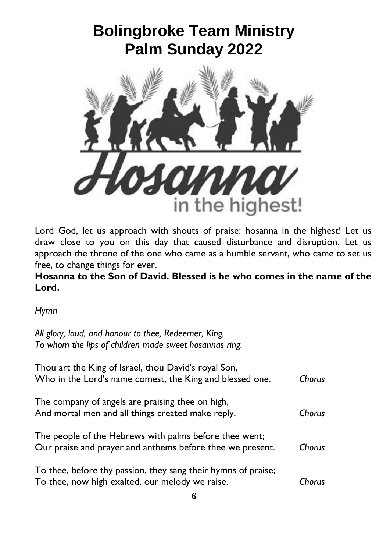# **Bolingbroke Team Ministry Palm Sunday 2022**



Lord God, let us approach with shouts of praise: hosanna in the highest! Let us draw close to you on this day that caused disturbance and disruption. Let us approach the throne of the one who came as a humble servant, who came to set us free, to change things for ever.

**Hosanna to the Son of David. Blessed is he who comes in the name of the Lord.**

*Hymn*

*All glory, laud, and honour to thee, Redeemer, King, To whom the lips of children made sweet hosannas ring.*

| Thou art the King of Israel, thou David's royal Son,<br>Who in the Lord's name comest, the King and blessed one.    | Chorus  |
|---------------------------------------------------------------------------------------------------------------------|---------|
| The company of angels are praising thee on high,<br>And mortal men and all things created make reply.               | Chorus  |
| The people of the Hebrews with palms before thee went;<br>Our praise and prayer and anthems before thee we present. | Chorus  |
| To thee, before thy passion, they sang their hymns of praise;<br>To thee, now high exalted, our melody we raise.    | Chorus. |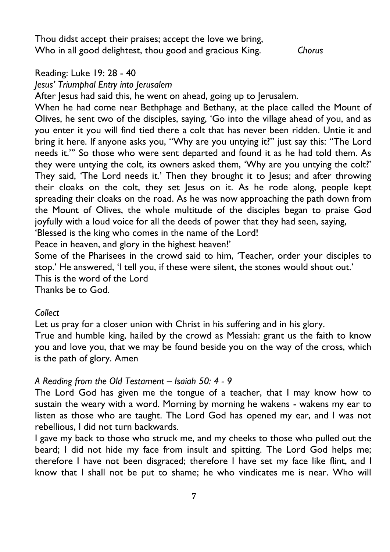Thou didst accept their praises; accept the love we bring, Who in all good delightest, thou good and gracious King. *Chorus*

### Reading: Luke 19: 28 - 40

## *Jesus' Triumphal Entry into Jerusalem*

After Jesus had said this, he went on ahead, going up to Jerusalem.

When he had come near Bethphage and Bethany, at the place called the Mount of Olives, he sent two of the disciples, saying, 'Go into the village ahead of you, and as you enter it you will find tied there a colt that has never been ridden. Untie it and bring it here. If anyone asks you, "Why are you untying it?" just say this: "The Lord needs it."' So those who were sent departed and found it as he had told them. As they were untying the colt, its owners asked them, 'Why are you untying the colt?' They said, 'The Lord needs it.' Then they brought it to Jesus; and after throwing their cloaks on the colt, they set Jesus on it. As he rode along, people kept spreading their cloaks on the road. As he was now approaching the path down from the Mount of Olives, the whole multitude of the disciples began to praise God joyfully with a loud voice for all the deeds of power that they had seen, saying,

'Blessed is the king who comes in the name of the Lord!

Peace in heaven, and glory in the highest heaven!'

Some of the Pharisees in the crowd said to him, 'Teacher, order your disciples to stop.' He answered, 'I tell you, if these were silent, the stones would shout out.' This is the word of the Lord

Thanks be to God.

# *Collect*

Let us pray for a closer union with Christ in his suffering and in his glory.

True and humble king, hailed by the crowd as Messiah: grant us the faith to know you and love you, that we may be found beside you on the way of the cross, which is the path of glory. Amen

## *A Reading from the Old Testament – Isaiah 50: 4 - 9*

The Lord God has given me the tongue of a teacher, that I may know how to sustain the weary with a word. Morning by morning he wakens - wakens my ear to listen as those who are taught. The Lord God has opened my ear, and I was not rebellious, I did not turn backwards.

I gave my back to those who struck me, and my cheeks to those who pulled out the beard; I did not hide my face from insult and spitting. The Lord God helps me; therefore I have not been disgraced; therefore I have set my face like flint, and I know that I shall not be put to shame; he who vindicates me is near. Who will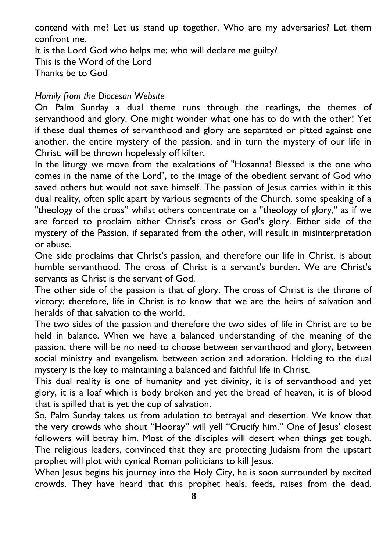contend with me? Let us stand up together. Who are my adversaries? Let them confront me. It is the Lord God who helps me; who will declare me guilty? This is the Word of the Lord Thanks be to God

# *Homily from the Diocesan Website*

On Palm Sunday a dual theme runs through the readings, the themes of servanthood and glory. One might wonder what one has to do with the other! Yet if these dual themes of servanthood and glory are separated or pitted against one another, the entire mystery of the passion, and in turn the mystery of our life in Christ, will be thrown hopelessly off kilter.

In the liturgy we move from the exaltations of "Hosanna! Blessed is the one who comes in the name of the Lord", to the image of the obedient servant of God who saved others but would not save himself. The passion of Jesus carries within it this dual reality, often split apart by various segments of the Church, some speaking of a "theology of the cross" whilst others concentrate on a "theology of glory," as if we are forced to proclaim either Christ's cross or God's glory. Either side of the mystery of the Passion, if separated from the other, will result in misinterpretation or abuse.

One side proclaims that Christ's passion, and therefore our life in Christ, is about humble servanthood. The cross of Christ is a servant's burden. We are Christ's servants as Christ is the servant of God.

The other side of the passion is that of glory. The cross of Christ is the throne of victory; therefore, life in Christ is to know that we are the heirs of salvation and heralds of that salvation to the world.

The two sides of the passion and therefore the two sides of life in Christ are to be held in balance. When we have a balanced understanding of the meaning of the passion, there will be no need to choose between servanthood and glory, between social ministry and evangelism, between action and adoration. Holding to the dual mystery is the key to maintaining a balanced and faithful life in Christ.

This dual reality is one of humanity and yet divinity, it is of servanthood and yet glory, it is a loaf which is body broken and yet the bread of heaven, it is of blood that is spilled that is yet the cup of salvation.

So, Palm Sunday takes us from adulation to betrayal and desertion. We know that the very crowds who shout "Hooray" will yell "Crucify him." One of Jesus' closest followers will betray him. Most of the disciples will desert when things get tough. The religious leaders, convinced that they are protecting Judaism from the upstart prophet will plot with cynical Roman politicians to kill Jesus.

When Jesus begins his journey into the Holy City, he is soon surrounded by excited crowds. They have heard that this prophet heals, feeds, raises from the dead.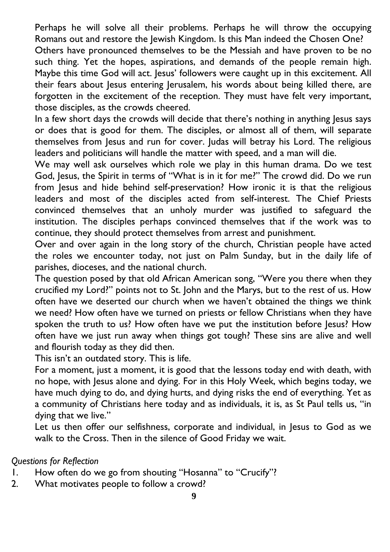Perhaps he will solve all their problems. Perhaps he will throw the occupying Romans out and restore the Jewish Kingdom. Is this Man indeed the Chosen One? Others have pronounced themselves to be the Messiah and have proven to be no such thing. Yet the hopes, aspirations, and demands of the people remain high. Maybe this time God will act. Jesus' followers were caught up in this excitement. All their fears about Jesus entering Jerusalem, his words about being killed there, are forgotten in the excitement of the reception. They must have felt very important, those disciples, as the crowds cheered.

In a few short days the crowds will decide that there's nothing in anything Jesus says or does that is good for them. The disciples, or almost all of them, will separate themselves from Jesus and run for cover. Judas will betray his Lord. The religious leaders and politicians will handle the matter with speed, and a man will die.

We may well ask ourselves which role we play in this human drama. Do we test God, Jesus, the Spirit in terms of "What is in it for me?" The crowd did. Do we run from Jesus and hide behind self-preservation? How ironic it is that the religious leaders and most of the disciples acted from self-interest. The Chief Priests convinced themselves that an unholy murder was justified to safeguard the institution. The disciples perhaps convinced themselves that if the work was to continue, they should protect themselves from arrest and punishment.

Over and over again in the long story of the church, Christian people have acted the roles we encounter today, not just on Palm Sunday, but in the daily life of parishes, dioceses, and the national church.

The question posed by that old African American song, "Were you there when they crucified my Lord?" points not to St. John and the Marys, but to the rest of us. How often have we deserted our church when we haven't obtained the things we think we need? How often have we turned on priests or fellow Christians when they have spoken the truth to us? How often have we put the institution before Jesus? How often have we just run away when things got tough? These sins are alive and well and flourish today as they did then.

This isn't an outdated story. This is life.

For a moment, just a moment, it is good that the lessons today end with death, with no hope, with Jesus alone and dying. For in this Holy Week, which begins today, we have much dying to do, and dying hurts, and dying risks the end of everything. Yet as a community of Christians here today and as individuals, it is, as St Paul tells us, "in dying that we live."

Let us then offer our selfishness, corporate and individual, in Jesus to God as we walk to the Cross. Then in the silence of Good Friday we wait.

*Questions for Reflection*

- 1. How often do we go from shouting "Hosanna" to "Crucify"?
- 2. What motivates people to follow a crowd?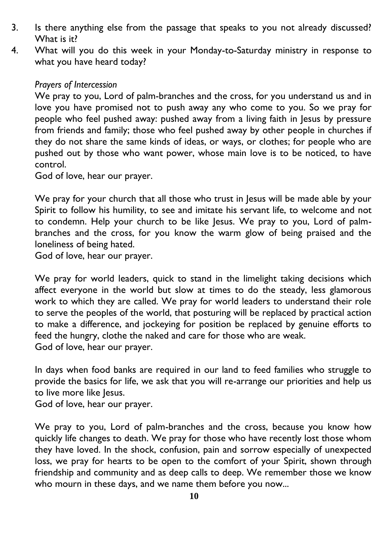- 3. Is there anything else from the passage that speaks to you not already discussed? What is it?
- 4. What will you do this week in your Monday-to-Saturday ministry in response to what you have heard today?

# *Prayers of Intercession*

We pray to you, Lord of palm-branches and the cross, for you understand us and in love you have promised not to push away any who come to you. So we pray for people who feel pushed away: pushed away from a living faith in Jesus by pressure from friends and family; those who feel pushed away by other people in churches if they do not share the same kinds of ideas, or ways, or clothes; for people who are pushed out by those who want power, whose main love is to be noticed, to have control.

God of love, hear our prayer.

We pray for your church that all those who trust in Jesus will be made able by your Spirit to follow his humility, to see and imitate his servant life, to welcome and not to condemn. Help your church to be like Jesus. We pray to you, Lord of palmbranches and the cross, for you know the warm glow of being praised and the loneliness of being hated.

God of love, hear our prayer.

We pray for world leaders, quick to stand in the limelight taking decisions which affect everyone in the world but slow at times to do the steady, less glamorous work to which they are called. We pray for world leaders to understand their role to serve the peoples of the world, that posturing will be replaced by practical action to make a difference, and jockeying for position be replaced by genuine efforts to feed the hungry, clothe the naked and care for those who are weak. God of love, hear our prayer.

In days when food banks are required in our land to feed families who struggle to provide the basics for life, we ask that you will re-arrange our priorities and help us to live more like Jesus.

God of love, hear our prayer.

We pray to you, Lord of palm-branches and the cross, because you know how quickly life changes to death. We pray for those who have recently lost those whom they have loved. In the shock, confusion, pain and sorrow especially of unexpected loss, we pray for hearts to be open to the comfort of your Spirit, shown through friendship and community and as deep calls to deep. We remember those we know who mourn in these days, and we name them before you now...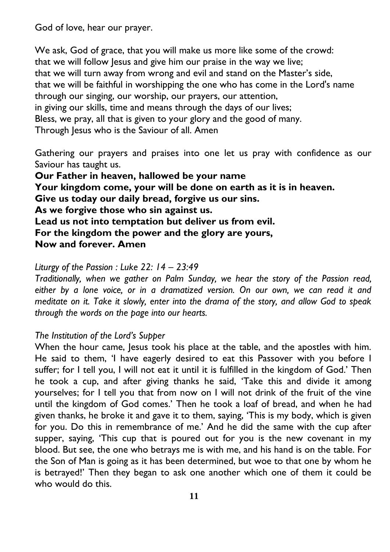God of love, hear our prayer.

We ask, God of grace, that you will make us more like some of the crowd: that we will follow Jesus and give him our praise in the way we live; that we will turn away from wrong and evil and stand on the Master's side, that we will be faithful in worshipping the one who has come in the Lord's name through our singing, our worship, our prayers, our attention, in giving our skills, time and means through the days of our lives; Bless, we pray, all that is given to your glory and the good of many. Through Jesus who is the Saviour of all. Amen

Gathering our prayers and praises into one let us pray with confidence as our Saviour has taught us.

**Our Father in heaven, hallowed be your name Your kingdom come, your will be done on earth as it is in heaven. Give us today our daily bread, forgive us our sins. As we forgive those who sin against us. Lead us not into temptation but deliver us from evil. For the kingdom the power and the glory are yours, Now and forever. Amen**

# *Liturgy of the Passion : Luke 22: 14 – 23:49*

*Traditionally, when we gather on Palm Sunday, we hear the story of the Passion read,*  either by a lone voice, or in a dramatized version. On our own, we can read it and *meditate on it. Take it slowly, enter into the drama of the story, and allow God to speak through the words on the page into our hearts.*

# *The Institution of the Lord's Supper*

When the hour came, Jesus took his place at the table, and the apostles with him. He said to them, 'I have eagerly desired to eat this Passover with you before I suffer; for I tell you, I will not eat it until it is fulfilled in the kingdom of God.' Then he took a cup, and after giving thanks he said, 'Take this and divide it among yourselves; for I tell you that from now on I will not drink of the fruit of the vine until the kingdom of God comes.' Then he took a loaf of bread, and when he had given thanks, he broke it and gave it to them, saying, 'This is my body, which is given for you. Do this in remembrance of me.' And he did the same with the cup after supper, saying, 'This cup that is poured out for you is the new covenant in my blood. But see, the one who betrays me is with me, and his hand is on the table. For the Son of Man is going as it has been determined, but woe to that one by whom he is betrayed!' Then they began to ask one another which one of them it could be who would do this.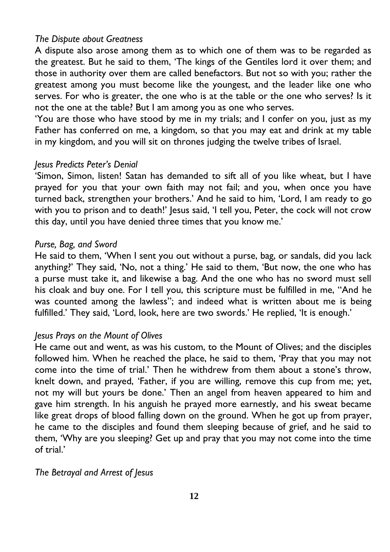# *The Dispute about Greatness*

A dispute also arose among them as to which one of them was to be regarded as the greatest. But he said to them, 'The kings of the Gentiles lord it over them; and those in authority over them are called benefactors. But not so with you; rather the greatest among you must become like the youngest, and the leader like one who serves. For who is greater, the one who is at the table or the one who serves? Is it not the one at the table? But I am among you as one who serves.

'You are those who have stood by me in my trials; and I confer on you, just as my Father has conferred on me, a kingdom, so that you may eat and drink at my table in my kingdom, and you will sit on thrones judging the twelve tribes of Israel.

## *Jesus Predicts Peter's Denial*

'Simon, Simon, listen! Satan has demanded to sift all of you like wheat, but I have prayed for you that your own faith may not fail; and you, when once you have turned back, strengthen your brothers.' And he said to him, 'Lord, I am ready to go with you to prison and to death!' Jesus said, 'I tell you, Peter, the cock will not crow this day, until you have denied three times that you know me.'

## *Purse, Bag, and Sword*

He said to them, 'When I sent you out without a purse, bag, or sandals, did you lack anything?' They said, 'No, not a thing.' He said to them, 'But now, the one who has a purse must take it, and likewise a bag. And the one who has no sword must sell his cloak and buy one. For I tell you, this scripture must be fulfilled in me, "And he was counted among the lawless"; and indeed what is written about me is being fulfilled.' They said, 'Lord, look, here are two swords.' He replied, 'It is enough.'

# *Jesus Prays on the Mount of Olives*

He came out and went, as was his custom, to the Mount of Olives; and the disciples followed him. When he reached the place, he said to them, 'Pray that you may not come into the time of trial.' Then he withdrew from them about a stone's throw, knelt down, and prayed, 'Father, if you are willing, remove this cup from me; yet, not my will but yours be done.' Then an angel from heaven appeared to him and gave him strength. In his anguish he prayed more earnestly, and his sweat became like great drops of blood falling down on the ground. When he got up from prayer, he came to the disciples and found them sleeping because of grief, and he said to them, 'Why are you sleeping? Get up and pray that you may not come into the time of trial.'

# *The Betrayal and Arrest of Jesus*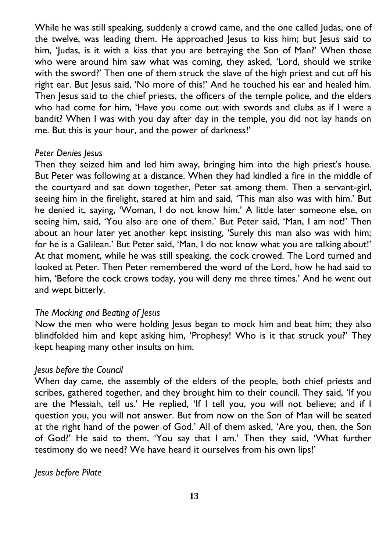While he was still speaking, suddenly a crowd came, and the one called Judas, one of the twelve, was leading them. He approached Jesus to kiss him; but Jesus said to him, 'Judas, is it with a kiss that you are betraying the Son of Man?' When those who were around him saw what was coming, they asked, 'Lord, should we strike with the sword?' Then one of them struck the slave of the high priest and cut off his right ear. But Jesus said, 'No more of this!' And he touched his ear and healed him. Then Jesus said to the chief priests, the officers of the temple police, and the elders who had come for him, 'Have you come out with swords and clubs as if I were a bandit? When I was with you day after day in the temple, you did not lay hands on me. But this is your hour, and the power of darkness!'

#### *Peter Denies Jesus*

Then they seized him and led him away, bringing him into the high priest's house. But Peter was following at a distance. When they had kindled a fire in the middle of the courtyard and sat down together, Peter sat among them. Then a servant-girl, seeing him in the firelight, stared at him and said, 'This man also was with him.' But he denied it, saying, 'Woman, I do not know him.' A little later someone else, on seeing him, said, 'You also are one of them.' But Peter said, 'Man, I am not!' Then about an hour later yet another kept insisting, 'Surely this man also was with him; for he is a Galilean.' But Peter said, 'Man, I do not know what you are talking about!' At that moment, while he was still speaking, the cock crowed. The Lord turned and looked at Peter. Then Peter remembered the word of the Lord, how he had said to him, 'Before the cock crows today, you will deny me three times.' And he went out and wept bitterly.

# *The Mocking and Beating of Jesus*

Now the men who were holding Jesus began to mock him and beat him; they also blindfolded him and kept asking him, 'Prophesy! Who is it that struck you?' They kept heaping many other insults on him.

## *Jesus before the Council*

When day came, the assembly of the elders of the people, both chief priests and scribes, gathered together, and they brought him to their council. They said, 'If you are the Messiah, tell us.' He replied, 'If I tell you, you will not believe; and if I question you, you will not answer. But from now on the Son of Man will be seated at the right hand of the power of God.' All of them asked, 'Are you, then, the Son of God?' He said to them, 'You say that I am.' Then they said, 'What further testimony do we need? We have heard it ourselves from his own lips!'

# *Jesus before Pilate*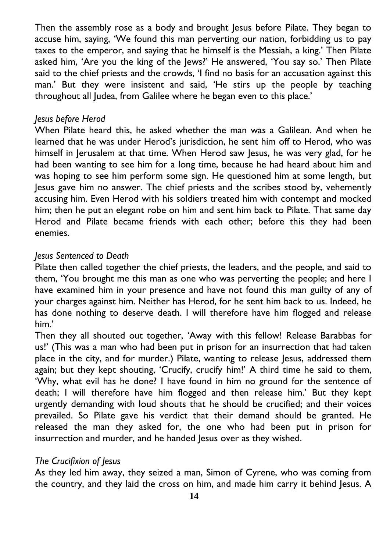Then the assembly rose as a body and brought Jesus before Pilate. They began to accuse him, saying, 'We found this man perverting our nation, forbidding us to pay taxes to the emperor, and saying that he himself is the Messiah, a king.' Then Pilate asked him, 'Are you the king of the Jews?' He answered, 'You say so.' Then Pilate said to the chief priests and the crowds, 'I find no basis for an accusation against this man.' But they were insistent and said, 'He stirs up the people by teaching throughout all Judea, from Galilee where he began even to this place.'

#### *Jesus before Herod*

When Pilate heard this, he asked whether the man was a Galilean. And when he learned that he was under Herod's jurisdiction, he sent him off to Herod, who was himself in Jerusalem at that time. When Herod saw Jesus, he was very glad, for he had been wanting to see him for a long time, because he had heard about him and was hoping to see him perform some sign. He questioned him at some length, but Jesus gave him no answer. The chief priests and the scribes stood by, vehemently accusing him. Even Herod with his soldiers treated him with contempt and mocked him; then he put an elegant robe on him and sent him back to Pilate. That same day Herod and Pilate became friends with each other; before this they had been enemies.

## *Jesus Sentenced to Death*

Pilate then called together the chief priests, the leaders, and the people, and said to them, 'You brought me this man as one who was perverting the people; and here I have examined him in your presence and have not found this man guilty of any of your charges against him. Neither has Herod, for he sent him back to us. Indeed, he has done nothing to deserve death. I will therefore have him flogged and release him.'

Then they all shouted out together, 'Away with this fellow! Release Barabbas for us!' (This was a man who had been put in prison for an insurrection that had taken place in the city, and for murder.) Pilate, wanting to release Jesus, addressed them again; but they kept shouting, 'Crucify, crucify him!' A third time he said to them, 'Why, what evil has he done? I have found in him no ground for the sentence of death; I will therefore have him flogged and then release him.' But they kept urgently demanding with loud shouts that he should be crucified; and their voices prevailed. So Pilate gave his verdict that their demand should be granted. He released the man they asked for, the one who had been put in prison for insurrection and murder, and he handed Jesus over as they wished.

#### *The Crucifixion of Jesus*

As they led him away, they seized a man, Simon of Cyrene, who was coming from the country, and they laid the cross on him, and made him carry it behind Jesus. A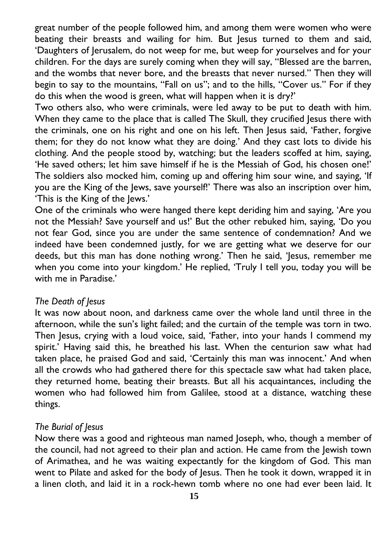great number of the people followed him, and among them were women who were beating their breasts and wailing for him. But Jesus turned to them and said, 'Daughters of Jerusalem, do not weep for me, but weep for yourselves and for your children. For the days are surely coming when they will say, "Blessed are the barren, and the wombs that never bore, and the breasts that never nursed." Then they will begin to say to the mountains, "Fall on us"; and to the hills, "Cover us." For if they do this when the wood is green, what will happen when it is dry?'

Two others also, who were criminals, were led away to be put to death with him. When they came to the place that is called The Skull, they crucified Jesus there with the criminals, one on his right and one on his left. Then Jesus said, 'Father, forgive them; for they do not know what they are doing.' And they cast lots to divide his clothing. And the people stood by, watching; but the leaders scoffed at him, saying, 'He saved others; let him save himself if he is the Messiah of God, his chosen one!' The soldiers also mocked him, coming up and offering him sour wine, and saying, 'If you are the King of the Jews, save yourself!' There was also an inscription over him, 'This is the King of the Jews.'

One of the criminals who were hanged there kept deriding him and saying, 'Are you not the Messiah? Save yourself and us!' But the other rebuked him, saying, 'Do you not fear God, since you are under the same sentence of condemnation? And we indeed have been condemned justly, for we are getting what we deserve for our deeds, but this man has done nothing wrong.' Then he said, 'Jesus, remember me when you come into your kingdom.' He replied, 'Truly I tell you, today you will be with me in Paradise.'

# *The Death of Jesus*

It was now about noon, and darkness came over the whole land until three in the afternoon, while the sun's light failed; and the curtain of the temple was torn in two. Then Jesus, crying with a loud voice, said, 'Father, into your hands I commend my spirit.' Having said this, he breathed his last. When the centurion saw what had taken place, he praised God and said, 'Certainly this man was innocent.' And when all the crowds who had gathered there for this spectacle saw what had taken place, they returned home, beating their breasts. But all his acquaintances, including the women who had followed him from Galilee, stood at a distance, watching these things.

## *The Burial of Jesus*

Now there was a good and righteous man named Joseph, who, though a member of the council, had not agreed to their plan and action. He came from the Jewish town of Arimathea, and he was waiting expectantly for the kingdom of God. This man went to Pilate and asked for the body of Jesus. Then he took it down, wrapped it in a linen cloth, and laid it in a rock-hewn tomb where no one had ever been laid. It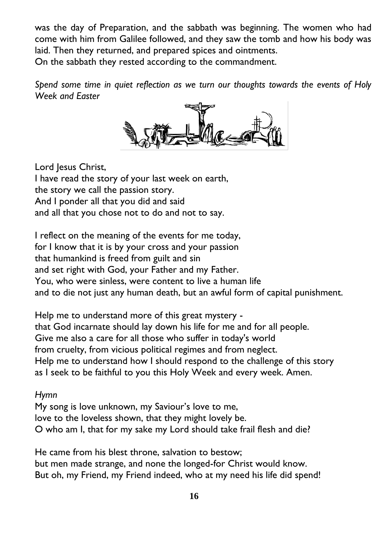was the day of Preparation, and the sabbath was beginning. The women who had come with him from Galilee followed, and they saw the tomb and how his body was laid. Then they returned, and prepared spices and ointments. On the sabbath they rested according to the commandment.

*Spend some time in quiet reflection as we turn our thoughts towards the events of Holy Week and Easter*



Lord Jesus Christ, I have read the story of your last week on earth, the story we call the passion story. And I ponder all that you did and said and all that you chose not to do and not to say.

I reflect on the meaning of the events for me today, for I know that it is by your cross and your passion that humankind is freed from guilt and sin and set right with God, your Father and my Father. You, who were sinless, were content to live a human life and to die not just any human death, but an awful form of capital punishment.

Help me to understand more of this great mystery that God incarnate should lay down his life for me and for all people. Give me also a care for all those who suffer in today's world from cruelty, from vicious political regimes and from neglect. Help me to understand how I should respond to the challenge of this story as I seek to be faithful to you this Holy Week and every week. Amen.

*Hymn*

My song is love unknown, my Saviour's love to me, love to the loveless shown, that they might lovely be. O who am I, that for my sake my Lord should take frail flesh and die?

He came from his blest throne, salvation to bestow; but men made strange, and none the longed-for Christ would know. But oh, my Friend, my Friend indeed, who at my need his life did spend!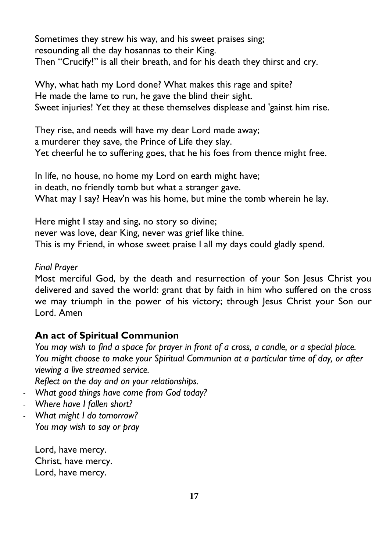Sometimes they strew his way, and his sweet praises sing; resounding all the day hosannas to their King. Then "Crucify!" is all their breath, and for his death they thirst and cry.

Why, what hath my Lord done? What makes this rage and spite? He made the lame to run, he gave the blind their sight. Sweet injuries! Yet they at these themselves displease and 'gainst him rise.

They rise, and needs will have my dear Lord made away; a murderer they save, the Prince of Life they slay. Yet cheerful he to suffering goes, that he his foes from thence might free.

In life, no house, no home my Lord on earth might have; in death, no friendly tomb but what a stranger gave. What may I say? Heav'n was his home, but mine the tomb wherein he lay.

Here might I stay and sing, no story so divine; never was love, dear King, never was grief like thine. This is my Friend, in whose sweet praise I all my days could gladly spend.

# *Final Prayer*

Most merciful God, by the death and resurrection of your Son Jesus Christ you delivered and saved the world: grant that by faith in him who suffered on the cross we may triumph in the power of his victory; through Jesus Christ your Son our Lord. Amen

# **An act of Spiritual Communion**

*You may wish to find a space for prayer in front of a cross, a candle, or a special place. You might choose to make your Spiritual Communion at a particular time of day, or after viewing a live streamed service.*

*Reflect on the day and on your relationships.*

- *What good things have come from God today?*
- *Where have I fallen short?*
- *What might I do tomorrow? You may wish to say or pray*

Lord, have mercy. Christ, have mercy. Lord, have mercy.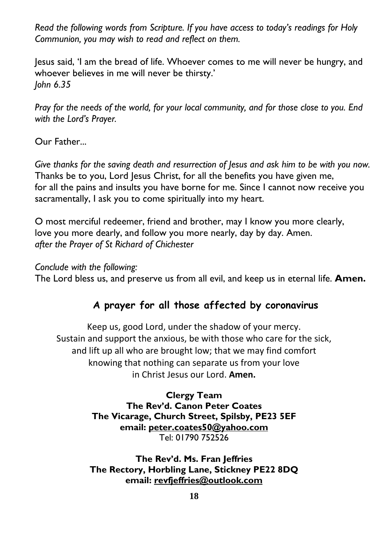*Read the following words from Scripture. If you have access to today's readings for Holy Communion, you may wish to read and reflect on them.*

Jesus said, 'I am the bread of life. Whoever comes to me will never be hungry, and whoever believes in me will never be thirsty.' *John 6.35*

*Pray for the needs of the world, for your local community, and for those close to you. End with the Lord's Prayer.*

Our Father...

*Give thanks for the saving death and resurrection of Jesus and ask him to be with you now.* Thanks be to you, Lord Jesus Christ, for all the benefits you have given me, for all the pains and insults you have borne for me. Since I cannot now receive you sacramentally, I ask you to come spiritually into my heart.

O most merciful redeemer, friend and brother, may I know you more clearly, love you more dearly, and follow you more nearly, day by day. Amen. *after the Prayer of St Richard of Chichester*

*Conclude with the following:*

The Lord bless us, and preserve us from all evil, and keep us in eternal life. **Amen.**

# **A prayer for all those affected by coronavirus**

Keep us, good Lord, under the shadow of your mercy. Sustain and support the anxious, be with those who care for the sick, and lift up all who are brought low; that we may find comfort knowing that nothing can separate us from your love in Christ Jesus our Lord. **Amen.**

> **Clergy Team The Rev'd. Canon Peter Coates The Vicarage, Church Street, Spilsby, PE23 5EF email: [peter.coates50@yahoo.com](mailto:peter.coates50@yahoo.com)** Tel: 01790 752526

**The Rev'd. Ms. Fran Jeffries The Rectory, Horbling Lane, Stickney PE22 8DQ email: [revfjeffries@outlook.com](mailto:revfjeffries@outlook.com)**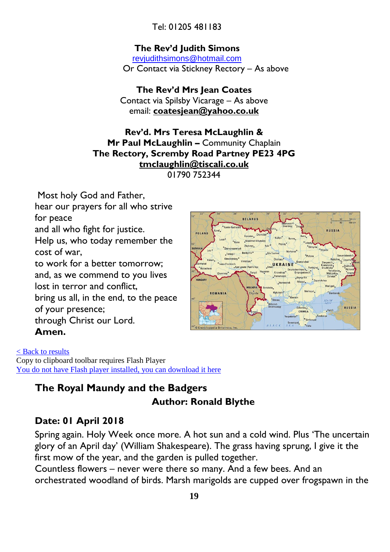# Tel: 01205 481183

#### **The Rev'd Judith Simons**

[revjudithsimons@hotmail.com](mailto:revjudithsimons@hotmail.com) Or Contact via Stickney Rectory – As above

**The Rev'd Mrs Jean Coates**

Contact via Spilsby Vicarage – As above email: **[coatesjean@yahoo.co.uk](mailto:coatesjean@yahoo.co.uk)**

**Rev'd. Mrs Teresa McLaughlin & Mr Paul McLaughlin –** Community Chaplain **The Rectory, Scremby Road Partney PE23 4PG [tmclaughlin@tiscali.co.uk](mailto:tmclaughlin@tiscali.co.uk)**

01790 752344

Most holy God and Father,

hear our prayers for all who strive for peace

and all who fight for justice.

Help us, who today remember the cost of war,

to work for a better tomorrow;

and, as we commend to you lives lost in terror and conflict,

bring us all, in the end, to the peace of your presence;

through Christ our Lord.

**Amen.**



[< Back to results](javascript:void(0))  Copy to clipboard toolbar requires Flash Player [You do not have Flash player installed, you can download it here](https://get.adobe.com/flashplayer/)

# **The Royal Maundy and the Badgers Author: Ronald Blythe**

# **Date: 01 April 2018**

Spring again. Holy Week once more. A hot sun and a cold wind. Plus 'The uncertain glory of an April day' (William Shakespeare). The grass having sprung, I give it the first mow of the year, and the garden is pulled together.

Countless flowers – never were there so many. And a few bees. And an orchestrated woodland of birds. Marsh marigolds are cupped over frogspawn in the